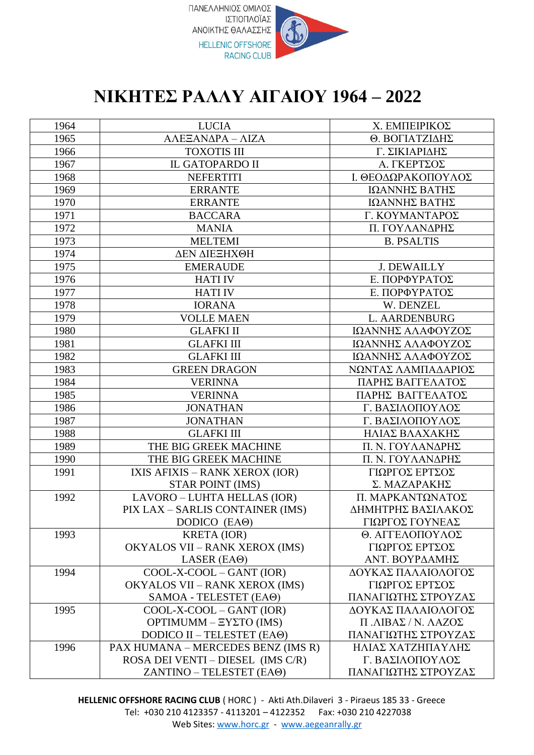

## **ΝΙΚΗΤΕΣ ΡΑΛΛΥ ΑΙΓΑΙΟΥ 1964 – 2022**

| 1964 | <b>LUCIA</b>                          | Χ. ΕΜΠΕΙΡΙΚΟΣ       |
|------|---------------------------------------|---------------------|
| 1965 | ΑΛΕΞΑΝΔΡΑ - ΛΙΖΑ                      | Θ. ΒΟΓΙΑΤΖΙΔΗΣ      |
| 1966 | <b>TOXOTIS III</b>                    | Γ. ΣΙΚΙΑΡΙΔΗΣ       |
| 1967 | <b>IL GATOPARDO II</b>                | Α. ΓΚΕΡΤΣΟΣ         |
| 1968 | <b>NEFERTITI</b>                      | Ι. ΘΕΟΔΩΡΑΚΟΠΟΥΛΟΣ  |
| 1969 | <b>ERRANTE</b>                        | ΙΩΑΝΝΗΣ ΒΑΤΗΣ       |
| 1970 | <b>ERRANTE</b>                        | ΙΩΑΝΝΗΣ ΒΑΤΗΣ       |
| 1971 | <b>BACCARA</b>                        | Γ. ΚΟΥΜΑΝΤΑΡΟΣ      |
| 1972 | <b>MANIA</b>                          | Π. ΓΟΥΛΑΝΔΡΗΣ       |
| 1973 | <b>MELTEMI</b>                        | <b>B. PSALTIS</b>   |
| 1974 | ΔΕΝ ΔΙΕΞΗΧΘΗ                          |                     |
| 1975 | <b>EMERAUDE</b>                       | <b>J. DEWAILLY</b>  |
| 1976 | <b>HATI IV</b>                        | Ε. ΠΟΡΦΥΡΑΤΟΣ       |
| 1977 | <b>HATI IV</b>                        | Ε. ΠΟΡΦΥΡΑΤΟΣ       |
| 1978 | <b>IORANA</b>                         | W. DENZEL           |
| 1979 | <b>VOLLE MAEN</b>                     | L. AARDENBURG       |
| 1980 | <b>GLAFKI II</b>                      | ΙΩΑΝΝΗΣ ΑΛΑΦΟΥΖΟΣ   |
| 1981 | <b>GLAFKI III</b>                     | ΙΩΑΝΝΗΣ ΑΛΑΦΟΥΖΟΣ   |
| 1982 | <b>GLAFKI III</b>                     | ΙΩΑΝΝΗΣ ΑΛΑΦΟΥΖΟΣ   |
| 1983 | <b>GREEN DRAGON</b>                   | ΝΩΝΤΑΣ ΛΑΜΠΑΔΑΡΙΟΣ  |
| 1984 | <b>VERINNA</b>                        | ΠΑΡΗΣ ΒΑΓΓΕΛΑΤΟΣ    |
| 1985 | <b>VERINNA</b>                        | ΠΑΡΗΣ ΒΑΓΓΕΛΑΤΟΣ    |
| 1986 | <b>JONATHAN</b>                       | Γ. ΒΑΣΙΛΟΠΟΥΛΟΣ     |
| 1987 | <b>JONATHAN</b>                       | Γ. ΒΑΣΙΛΟΠΟΥΛΟΣ     |
| 1988 | <b>GLAFKI III</b>                     | ΗΛΙΑΣ ΒΛΑΧΑΚΗΣ      |
| 1989 | THE BIG GREEK MACHINE                 | Π. Ν. ΓΟΥΛΑΝΔΡΗΣ    |
| 1990 | THE BIG GREEK MACHINE                 | Π. Ν. ΓΟΥΛΑΝΔΡΗΣ    |
| 1991 | IXIS AFIXIS - RANK XEROX (IOR)        | ΓΙΩΡΓΟΣ ΕΡΤΣΟΣ      |
|      | <b>STAR POINT (IMS)</b>               | Σ. ΜΑΖΑΡΑΚΗΣ        |
| 1992 | LAVORO - LUHTA HELLAS (IOR)           | Π. ΜΑΡΚΑΝΤΩΝΑΤΟΣ    |
|      | PIX LAX - SARLIS CONTAINER (IMS)      | ΔΗΜΗΤΡΗΣ ΒΑΣΙΛΑΚΟΣ  |
|      | DODICO (EAO)                          | ΓΙΩΡΓΟΣ ΓΟΥΝΕΑΣ     |
| 1993 | <b>KRETA</b> (IOR)                    | Θ. ΑΓΓΕΛΟΠΟΥΛΟΣ     |
|      | <b>OKYALOS VII - RANK XEROX (IMS)</b> | ΓΙΩΡΓΟΣ ΕΡΤΣΟΣ      |
|      | LASER $(EA\Theta)$                    | ΑΝΤ. ΒΟΥΡΔΑΜΗΣ      |
| 1994 | COOL-X-COOL - GANT (IOR)              | ΔΟΥΚΑΣ ΠΑΛΑΙΟΛΟΓΟΣ  |
|      | <b>OKYALOS VII - RANK XEROX (IMS)</b> | ΓΙΩΡΓΟΣ ΕΡΤΣΟΣ      |
|      | SAMOA - TELESTET (EAO)                | ΠΑΝΑΓΙΩΤΗΣ ΣΤΡΟΥΖΑΣ |
| 1995 | $COOL-X-COOL-GANT (IOR)$              | ΔΟΥΚΑΣ ΠΑΛΑΙΟΛΟΓΟΣ  |
|      | $OPTIMUM - EYZTO$ (IMS)               | Π.ΛΙΒΑΣ / Ν. ΛΑΖΟΣ  |
|      | DODICO II - TELESTET (EAO)            | ΠΑΝΑΓΙΩΤΗΣ ΣΤΡΟΥΖΑΣ |
| 1996 | PAX HUMANA - MERCEDES BENZ (IMS R)    | ΗΛΙΑΣ ΧΑΤΖΗΠΑΥΛΗΣ   |
|      | ROSA DEI VENTI – DIESEL (IMS C/R)     | Γ. ΒΑΣΙΛΟΠΟΥΛΟΣ     |
|      | ZANTINO - TELESTET (EAO)              | ΠΑΝΑΓΙΩΤΗΣ ΣΤΡΟΥΖΑΣ |

**HELLENIC OFFSHORE RACING CLUB** ( HORC ) - Akti Ath.Dilaveri 3 - Piraeus 185 33 - Greece Tel: +030 210 4123357 - 4113201 – 4122352 Fax: +030 210 4227038 Web Sites: www.horc.gr - www.aegeanrally.gr